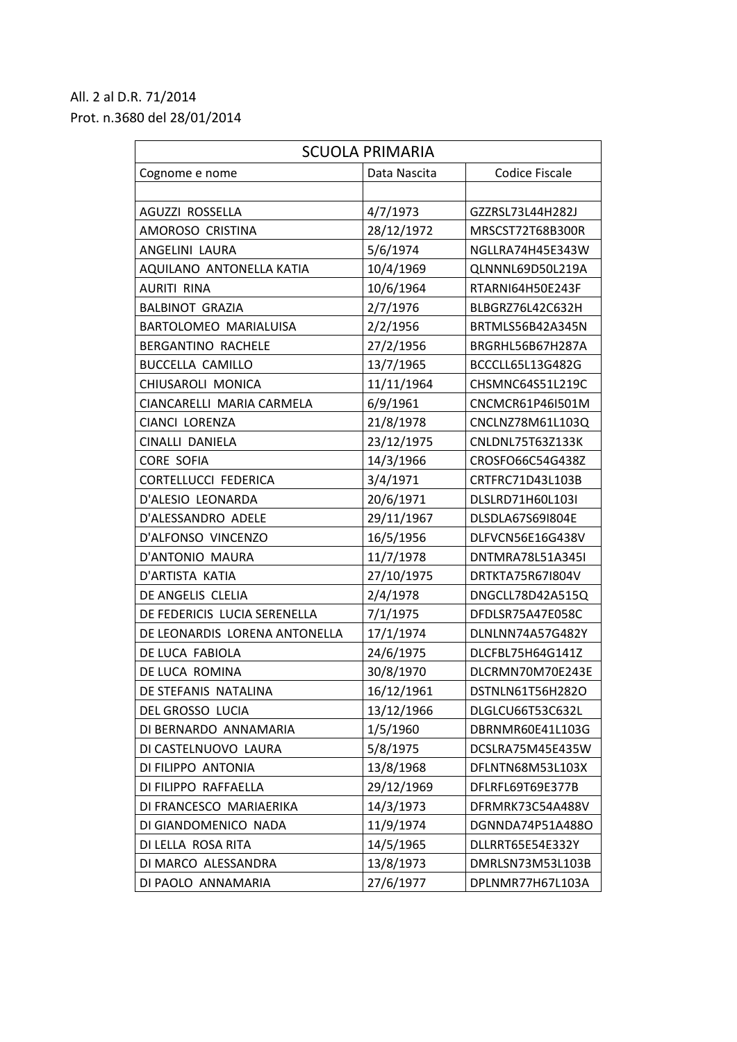## All. 2 al D.R. 71/2014 Prot. n.3680 del 28/01/2014

| <b>SCUOLA PRIMARIA</b>        |              |                       |  |  |
|-------------------------------|--------------|-----------------------|--|--|
| Cognome e nome                | Data Nascita | <b>Codice Fiscale</b> |  |  |
|                               |              |                       |  |  |
| AGUZZI ROSSELLA               | 4/7/1973     | GZZRSL73L44H282J      |  |  |
| AMOROSO CRISTINA              | 28/12/1972   | MRSCST72T68B300R      |  |  |
| ANGELINI LAURA                | 5/6/1974     | NGLLRA74H45E343W      |  |  |
| AQUILANO ANTONELLA KATIA      | 10/4/1969    | QLNNNL69D50L219A      |  |  |
| <b>AURITI RINA</b>            | 10/6/1964    | RTARNI64H50E243F      |  |  |
| <b>BALBINOT GRAZIA</b>        | 2/7/1976     | BLBGRZ76L42C632H      |  |  |
| BARTOLOMEO MARIALUISA         | 2/2/1956     | BRTMLS56B42A345N      |  |  |
| BERGANTINO RACHELE            | 27/2/1956    | BRGRHL56B67H287A      |  |  |
| <b>BUCCELLA CAMILLO</b>       | 13/7/1965    | BCCCLL65L13G482G      |  |  |
| CHIUSAROLI MONICA             | 11/11/1964   | CHSMNC64S51L219C      |  |  |
| CIANCARELLI MARIA CARMELA     | 6/9/1961     | CNCMCR61P46I501M      |  |  |
| CIANCI LORENZA                | 21/8/1978    | CNCLNZ78M61L103Q      |  |  |
| <b>CINALLI DANIELA</b>        | 23/12/1975   | CNLDNL75T63Z133K      |  |  |
| <b>CORE SOFIA</b>             | 14/3/1966    | CROSFO66C54G438Z      |  |  |
| CORTELLUCCI FEDERICA          | 3/4/1971     | CRTFRC71D43L103B      |  |  |
| D'ALESIO LEONARDA             | 20/6/1971    | DLSLRD71H60L103I      |  |  |
| D'ALESSANDRO ADELE            | 29/11/1967   | DLSDLA67S69I804E      |  |  |
| D'ALFONSO VINCENZO            | 16/5/1956    | DLFVCN56E16G438V      |  |  |
| D'ANTONIO MAURA               | 11/7/1978    | DNTMRA78L51A345I      |  |  |
| D'ARTISTA KATIA               | 27/10/1975   | DRTKTA75R67I804V      |  |  |
| DE ANGELIS CLELIA             | 2/4/1978     | DNGCLL78D42A515Q      |  |  |
| DE FEDERICIS LUCIA SERENELLA  | 7/1/1975     | DFDLSR75A47E058C      |  |  |
| DE LEONARDIS LORENA ANTONELLA | 17/1/1974    | DLNLNN74A57G482Y      |  |  |
| DE LUCA FABIOLA               | 24/6/1975    | DLCFBL75H64G141Z      |  |  |
| DE LUCA ROMINA                | 30/8/1970    | DLCRMN70M70E243E      |  |  |
| DE STEFANIS NATALINA          | 16/12/1961   | DSTNLN61T56H282O      |  |  |
| DEL GROSSO LUCIA              | 13/12/1966   | DLGLCU66T53C632L      |  |  |
| DI BERNARDO ANNAMARIA         | 1/5/1960     | DBRNMR60E41L103G      |  |  |
| DI CASTELNUOVO LAURA          | 5/8/1975     | DCSLRA75M45E435W      |  |  |
| DI FILIPPO ANTONIA            | 13/8/1968    | DFLNTN68M53L103X      |  |  |
| DI FILIPPO RAFFAELLA          | 29/12/1969   | DFLRFL69T69E377B      |  |  |
| DI FRANCESCO MARIAERIKA       | 14/3/1973    | DFRMRK73C54A488V      |  |  |
| DI GIANDOMENICO NADA          | 11/9/1974    | DGNNDA74P51A488O      |  |  |
| DI LELLA ROSA RITA            | 14/5/1965    | DLLRRT65E54E332Y      |  |  |
| DI MARCO ALESSANDRA           | 13/8/1973    | DMRLSN73M53L103B      |  |  |
| DI PAOLO ANNAMARIA            | 27/6/1977    | DPLNMR77H67L103A      |  |  |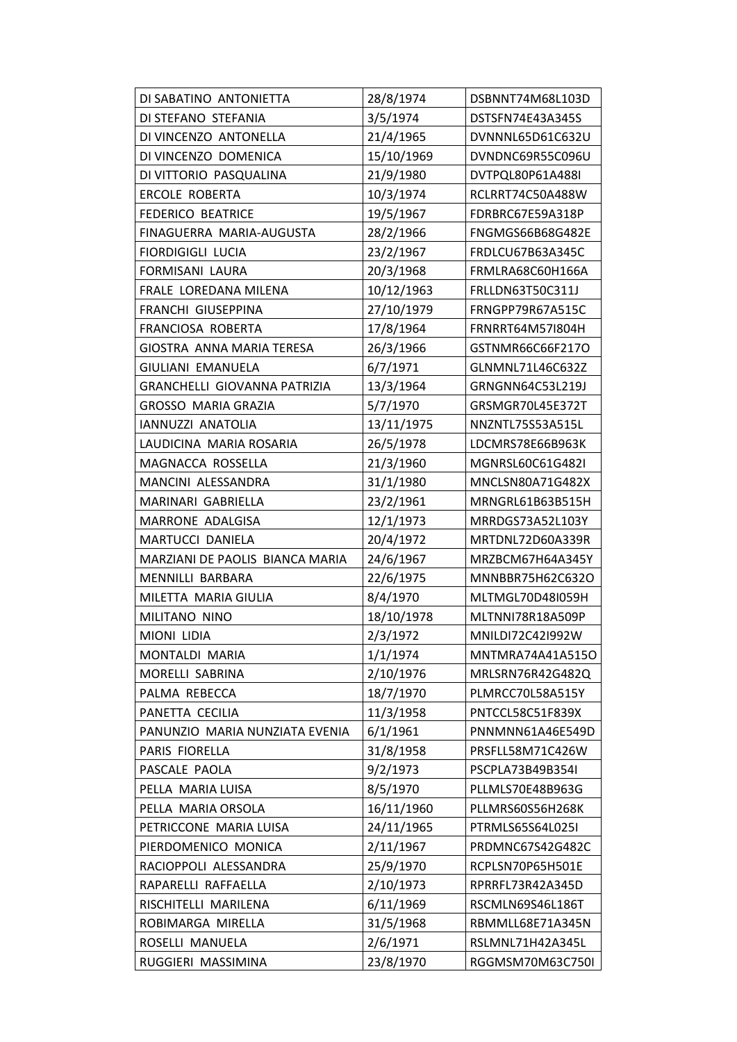| DI SABATINO ANTONIETTA          | 28/8/1974  | DSBNNT74M68L103D        |
|---------------------------------|------------|-------------------------|
| DI STEFANO STEFANIA             | 3/5/1974   | DSTSFN74E43A345S        |
| DI VINCENZO ANTONELLA           | 21/4/1965  | DVNNNL65D61C632U        |
| DI VINCENZO DOMENICA            | 15/10/1969 | DVNDNC69R55C096U        |
| DI VITTORIO PASQUALINA          | 21/9/1980  | DVTPQL80P61A488I        |
| <b>ERCOLE ROBERTA</b>           | 10/3/1974  | RCLRRT74C50A488W        |
| <b>FEDERICO BEATRICE</b>        | 19/5/1967  | FDRBRC67E59A318P        |
| FINAGUERRA MARIA-AUGUSTA        | 28/2/1966  | <b>FNGMGS66B68G482E</b> |
| <b>FIORDIGIGLI LUCIA</b>        | 23/2/1967  | FRDLCU67B63A345C        |
| FORMISANI LAURA                 | 20/3/1968  | FRMLRA68C60H166A        |
| FRALE LOREDANA MILENA           | 10/12/1963 | FRLLDN63T50C311J        |
| FRANCHI GIUSEPPINA              | 27/10/1979 | FRNGPP79R67A515C        |
| FRANCIOSA ROBERTA               | 17/8/1964  | FRNRRT64M57I804H        |
| GIOSTRA ANNA MARIA TERESA       | 26/3/1966  | GSTNMR66C66F217O        |
| GIULIANI EMANUELA               | 6/7/1971   | GLNMNL71L46C632Z        |
| GRANCHELLI GIOVANNA PATRIZIA    | 13/3/1964  | GRNGNN64C53L219J        |
| <b>GROSSO MARIA GRAZIA</b>      | 5/7/1970   | GRSMGR70L45E372T        |
| IANNUZZI ANATOLIA               | 13/11/1975 | NNZNTL75S53A515L        |
| LAUDICINA MARIA ROSARIA         | 26/5/1978  | LDCMRS78E66B963K        |
| MAGNACCA ROSSELLA               | 21/3/1960  | MGNRSL60C61G482I        |
| MANCINI ALESSANDRA              | 31/1/1980  | MNCLSN80A71G482X        |
| MARINARI GABRIELLA              | 23/2/1961  | MRNGRL61B63B515H        |
| MARRONE ADALGISA                | 12/1/1973  | MRRDGS73A52L103Y        |
| MARTUCCI DANIELA                | 20/4/1972  | MRTDNL72D60A339R        |
| MARZIANI DE PAOLIS BIANCA MARIA | 24/6/1967  | MRZBCM67H64A345Y        |
| MENNILLI BARBARA                | 22/6/1975  | MNNBBR75H62C632O        |
| MILETTA MARIA GIULIA            | 8/4/1970   | MLTMGL70D48I059H        |
| MILITANO NINO                   | 18/10/1978 | MLTNNI78R18A509P        |
| <b>MIONI LIDIA</b>              | 2/3/1972   | MNILDI72C42I992W        |
| MONTALDI MARIA                  | 1/1/1974   | MNTMRA74A41A515O        |
| MORELLI SABRINA                 | 2/10/1976  | MRLSRN76R42G482Q        |
| PALMA REBECCA                   | 18/7/1970  | PLMRCC70L58A515Y        |
| PANETTA CECILIA                 | 11/3/1958  | PNTCCL58C51F839X        |
| PANUNZIO MARIA NUNZIATA EVENIA  | 6/1/1961   | PNNMNN61A46E549D        |
| PARIS FIORELLA                  | 31/8/1958  | PRSFLL58M71C426W        |
| PASCALE PAOLA                   | 9/2/1973   | PSCPLA73B49B354I        |
| PELLA MARIA LUISA               | 8/5/1970   | PLLMLS70E48B963G        |
| PELLA MARIA ORSOLA              | 16/11/1960 | PLLMRS60S56H268K        |
| PETRICCONE MARIA LUISA          | 24/11/1965 | PTRMLS65S64L025I        |
| PIERDOMENICO MONICA             | 2/11/1967  | PRDMNC67S42G482C        |
| RACIOPPOLI ALESSANDRA           | 25/9/1970  | RCPLSN70P65H501E        |
| RAPARELLI RAFFAELLA             | 2/10/1973  | RPRRFL73R42A345D        |
| RISCHITELLI MARILENA            | 6/11/1969  | RSCMLN69S46L186T        |
| ROBIMARGA MIRELLA               | 31/5/1968  | RBMMLL68E71A345N        |
| ROSELLI MANUELA                 | 2/6/1971   | RSLMNL71H42A345L        |
| RUGGIERI MASSIMINA              | 23/8/1970  | RGGMSM70M63C750I        |